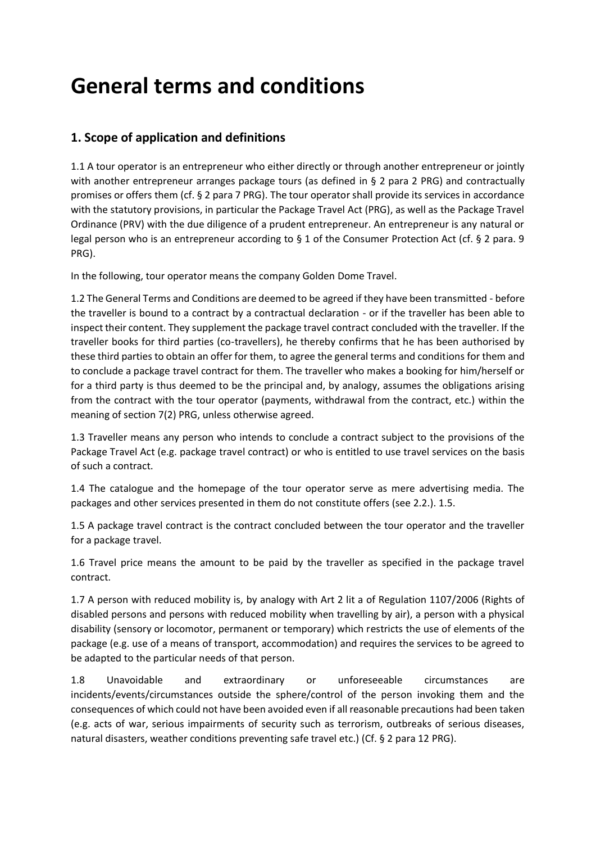# **General terms and conditions**

# **1. Scope of application and definitions**

1.1 A tour operator is an entrepreneur who either directly or through another entrepreneur or jointly with another entrepreneur arranges package tours (as defined in § 2 para 2 PRG) and contractually promises or offers them (cf. § 2 para 7 PRG). The tour operator shall provide its services in accordance with the statutory provisions, in particular the Package Travel Act (PRG), as well as the Package Travel Ordinance (PRV) with the due diligence of a prudent entrepreneur. An entrepreneur is any natural or legal person who is an entrepreneur according to § 1 of the Consumer Protection Act (cf. § 2 para. 9 PRG).

In the following, tour operator means the company Golden Dome Travel.

1.2 The General Terms and Conditions are deemed to be agreed if they have been transmitted - before the traveller is bound to a contract by a contractual declaration - or if the traveller has been able to inspect their content. They supplement the package travel contract concluded with the traveller. If the traveller books for third parties (co-travellers), he thereby confirms that he has been authorised by these third parties to obtain an offer for them, to agree the general terms and conditions for them and to conclude a package travel contract for them. The traveller who makes a booking for him/herself or for a third party is thus deemed to be the principal and, by analogy, assumes the obligations arising from the contract with the tour operator (payments, withdrawal from the contract, etc.) within the meaning of section 7(2) PRG, unless otherwise agreed.

1.3 Traveller means any person who intends to conclude a contract subject to the provisions of the Package Travel Act (e.g. package travel contract) or who is entitled to use travel services on the basis of such a contract.

1.4 The catalogue and the homepage of the tour operator serve as mere advertising media. The packages and other services presented in them do not constitute offers (see 2.2.). 1.5.

1.5 A package travel contract is the contract concluded between the tour operator and the traveller for a package travel.

1.6 Travel price means the amount to be paid by the traveller as specified in the package travel contract.

1.7 A person with reduced mobility is, by analogy with Art 2 lit a of Regulation 1107/2006 (Rights of disabled persons and persons with reduced mobility when travelling by air), a person with a physical disability (sensory or locomotor, permanent or temporary) which restricts the use of elements of the package (e.g. use of a means of transport, accommodation) and requires the services to be agreed to be adapted to the particular needs of that person.

1.8 Unavoidable and extraordinary or unforeseeable circumstances are incidents/events/circumstances outside the sphere/control of the person invoking them and the consequences of which could not have been avoided even if all reasonable precautions had been taken (e.g. acts of war, serious impairments of security such as terrorism, outbreaks of serious diseases, natural disasters, weather conditions preventing safe travel etc.) (Cf. § 2 para 12 PRG).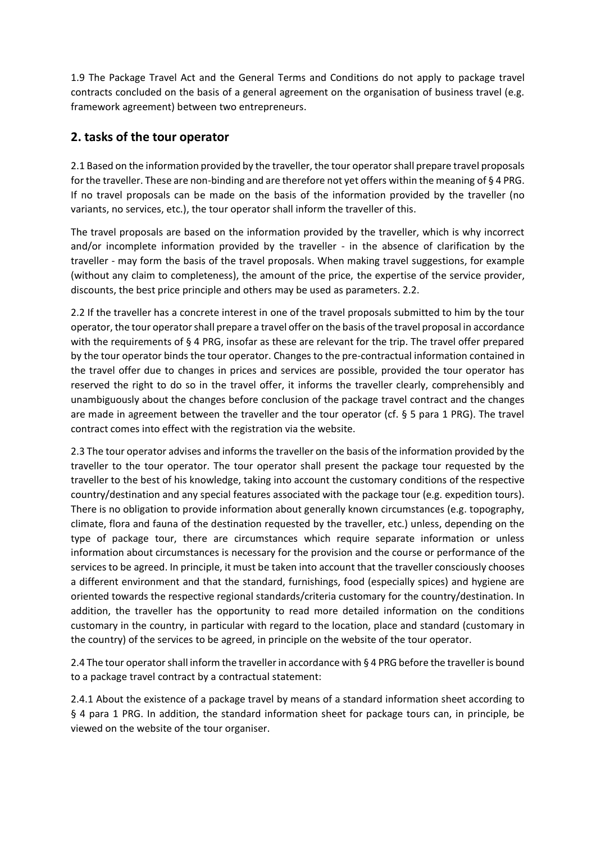1.9 The Package Travel Act and the General Terms and Conditions do not apply to package travel contracts concluded on the basis of a general agreement on the organisation of business travel (e.g. framework agreement) between two entrepreneurs.

# **2. tasks of the tour operator**

2.1 Based on the information provided by the traveller, the tour operator shall prepare travel proposals for the traveller. These are non-binding and are therefore not yet offers within the meaning of § 4 PRG. If no travel proposals can be made on the basis of the information provided by the traveller (no variants, no services, etc.), the tour operator shall inform the traveller of this.

The travel proposals are based on the information provided by the traveller, which is why incorrect and/or incomplete information provided by the traveller - in the absence of clarification by the traveller - may form the basis of the travel proposals. When making travel suggestions, for example (without any claim to completeness), the amount of the price, the expertise of the service provider, discounts, the best price principle and others may be used as parameters. 2.2.

2.2 If the traveller has a concrete interest in one of the travel proposals submitted to him by the tour operator, the tour operator shall prepare a travel offer on the basis of the travel proposal in accordance with the requirements of § 4 PRG, insofar as these are relevant for the trip. The travel offer prepared by the tour operator binds the tour operator. Changes to the pre-contractual information contained in the travel offer due to changes in prices and services are possible, provided the tour operator has reserved the right to do so in the travel offer, it informs the traveller clearly, comprehensibly and unambiguously about the changes before conclusion of the package travel contract and the changes are made in agreement between the traveller and the tour operator (cf. § 5 para 1 PRG). The travel contract comes into effect with the registration via the website.

2.3 The tour operator advises and informs the traveller on the basis of the information provided by the traveller to the tour operator. The tour operator shall present the package tour requested by the traveller to the best of his knowledge, taking into account the customary conditions of the respective country/destination and any special features associated with the package tour (e.g. expedition tours). There is no obligation to provide information about generally known circumstances (e.g. topography, climate, flora and fauna of the destination requested by the traveller, etc.) unless, depending on the type of package tour, there are circumstances which require separate information or unless information about circumstances is necessary for the provision and the course or performance of the services to be agreed. In principle, it must be taken into account that the traveller consciously chooses a different environment and that the standard, furnishings, food (especially spices) and hygiene are oriented towards the respective regional standards/criteria customary for the country/destination. In addition, the traveller has the opportunity to read more detailed information on the conditions customary in the country, in particular with regard to the location, place and standard (customary in the country) of the services to be agreed, in principle on the website of the tour operator.

2.4 The tour operator shall inform the traveller in accordance with § 4 PRG before the traveller is bound to a package travel contract by a contractual statement:

2.4.1 About the existence of a package travel by means of a standard information sheet according to § 4 para 1 PRG. In addition, the standard information sheet for package tours can, in principle, be viewed on the website of the tour organiser.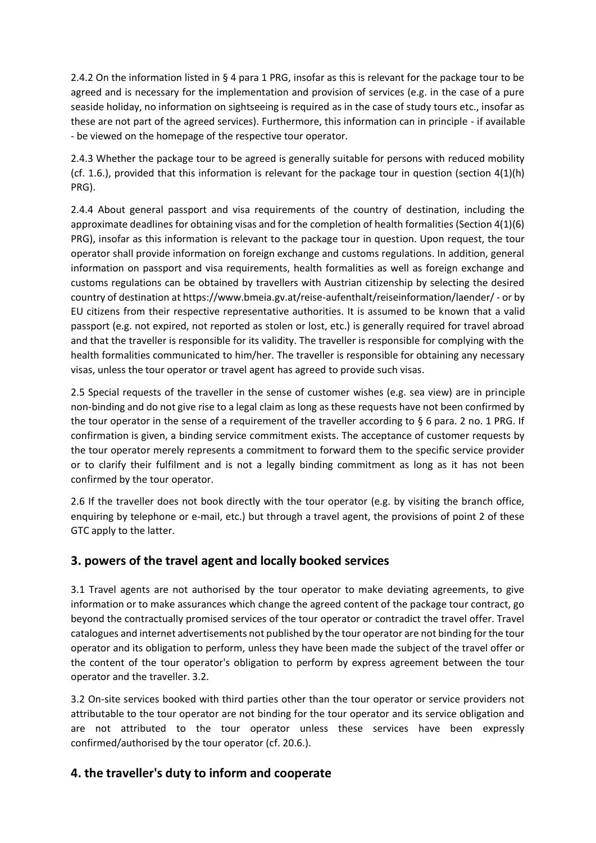2.4.2 On the information listed in § 4 para 1 PRG, insofar as this is relevant for the package tour to be agreed and is necessary for the implementation and provision of services (e.g. in the case of a pure seaside holiday, no information on sightseeing is required as in the case of study tours etc., insofar as these are not part of the agreed services). Furthermore, this information can in principle - if available - be viewed on the homepage of the respective tour operator.

2.4.3 Whether the package tour to be agreed is generally suitable for persons with reduced mobility (cf. 1.6.), provided that this information is relevant for the package tour in question (section 4(1)(h) PRG).

2.4.4 About general passport and visa requirements of the country of destination, including the approximate deadlines for obtaining visas and for the completion of health formalities (Section 4(1)(6) PRG), insofar as this information is relevant to the package tour in question. Upon request, the tour operator shall provide information on foreign exchange and customs regulations. In addition, general information on passport and visa requirements, health formalities as well as foreign exchange and customs regulations can be obtained by travellers with Austrian citizenship by selecting the desired country of destination at https://www.bmeia.gv.at/reise-aufenthalt/reiseinformation/laender/ - or by EU citizens from their respective representative authorities. It is assumed to be known that a valid passport (e.g. not expired, not reported as stolen or lost, etc.) is generally required for travel abroad and that the traveller is responsible for its validity. The traveller is responsible for complying with the health formalities communicated to him/her. The traveller is responsible for obtaining any necessary visas, unless the tour operator or travel agent has agreed to provide such visas.

2.5 Special requests of the traveller in the sense of customer wishes (e.g. sea view) are in principle non-binding and do not give rise to a legal claim as long as these requests have not been confirmed by the tour operator in the sense of a requirement of the traveller according to § 6 para. 2 no. 1 PRG. If confirmation is given, a binding service commitment exists. The acceptance of customer requests by the tour operator merely represents a commitment to forward them to the specific service provider or to clarify their fulfilment and is not a legally binding commitment as long as it has not been confirmed by the tour operator.

2.6 If the traveller does not book directly with the tour operator (e.g. by visiting the branch office, enquiring by telephone or e-mail, etc.) but through a travel agent, the provisions of point 2 of these GTC apply to the latter.

# **3. powers of the travel agent and locally booked services**

3.1 Travel agents are not authorised by the tour operator to make deviating agreements, to give information or to make assurances which change the agreed content of the package tour contract, go beyond the contractually promised services of the tour operator or contradict the travel offer. Travel catalogues and internet advertisements not published by the tour operator are not binding for the tour operator and its obligation to perform, unless they have been made the subject of the travel offer or the content of the tour operator's obligation to perform by express agreement between the tour operator and the traveller. 3.2.

3.2 On-site services booked with third parties other than the tour operator or service providers not attributable to the tour operator are not binding for the tour operator and its service obligation and are not attributed to the tour operator unless these services have been expressly confirmed/authorised by the tour operator (cf. 20.6.).

# **4. the traveller's duty to inform and cooperate**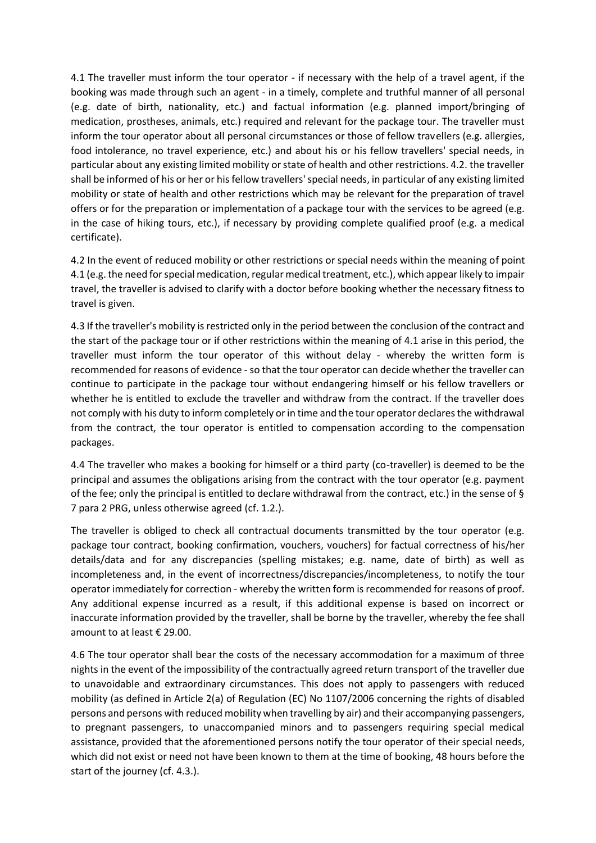4.1 The traveller must inform the tour operator - if necessary with the help of a travel agent, if the booking was made through such an agent - in a timely, complete and truthful manner of all personal (e.g. date of birth, nationality, etc.) and factual information (e.g. planned import/bringing of medication, prostheses, animals, etc.) required and relevant for the package tour. The traveller must inform the tour operator about all personal circumstances or those of fellow travellers (e.g. allergies, food intolerance, no travel experience, etc.) and about his or his fellow travellers' special needs, in particular about any existing limited mobility or state of health and other restrictions. 4.2. the traveller shall be informed of his or her or his fellow travellers' special needs, in particular of any existing limited mobility or state of health and other restrictions which may be relevant for the preparation of travel offers or for the preparation or implementation of a package tour with the services to be agreed (e.g. in the case of hiking tours, etc.), if necessary by providing complete qualified proof (e.g. a medical certificate).

4.2 In the event of reduced mobility or other restrictions or special needs within the meaning of point 4.1 (e.g. the need for special medication, regular medical treatment, etc.), which appear likely to impair travel, the traveller is advised to clarify with a doctor before booking whether the necessary fitness to travel is given.

4.3 If the traveller's mobility is restricted only in the period between the conclusion of the contract and the start of the package tour or if other restrictions within the meaning of 4.1 arise in this period, the traveller must inform the tour operator of this without delay - whereby the written form is recommended for reasons of evidence - so that the tour operator can decide whether the traveller can continue to participate in the package tour without endangering himself or his fellow travellers or whether he is entitled to exclude the traveller and withdraw from the contract. If the traveller does not comply with his duty to inform completely or in time and the tour operator declares the withdrawal from the contract, the tour operator is entitled to compensation according to the compensation packages.

4.4 The traveller who makes a booking for himself or a third party (co-traveller) is deemed to be the principal and assumes the obligations arising from the contract with the tour operator (e.g. payment of the fee; only the principal is entitled to declare withdrawal from the contract, etc.) in the sense of § 7 para 2 PRG, unless otherwise agreed (cf. 1.2.).

The traveller is obliged to check all contractual documents transmitted by the tour operator (e.g. package tour contract, booking confirmation, vouchers, vouchers) for factual correctness of his/her details/data and for any discrepancies (spelling mistakes; e.g. name, date of birth) as well as incompleteness and, in the event of incorrectness/discrepancies/incompleteness, to notify the tour operator immediately for correction - whereby the written form is recommended for reasons of proof. Any additional expense incurred as a result, if this additional expense is based on incorrect or inaccurate information provided by the traveller, shall be borne by the traveller, whereby the fee shall amount to at least € 29.00.

4.6 The tour operator shall bear the costs of the necessary accommodation for a maximum of three nights in the event of the impossibility of the contractually agreed return transport of the traveller due to unavoidable and extraordinary circumstances. This does not apply to passengers with reduced mobility (as defined in Article 2(a) of Regulation (EC) No 1107/2006 concerning the rights of disabled persons and persons with reduced mobility when travelling by air) and their accompanying passengers, to pregnant passengers, to unaccompanied minors and to passengers requiring special medical assistance, provided that the aforementioned persons notify the tour operator of their special needs, which did not exist or need not have been known to them at the time of booking, 48 hours before the start of the journey (cf. 4.3.).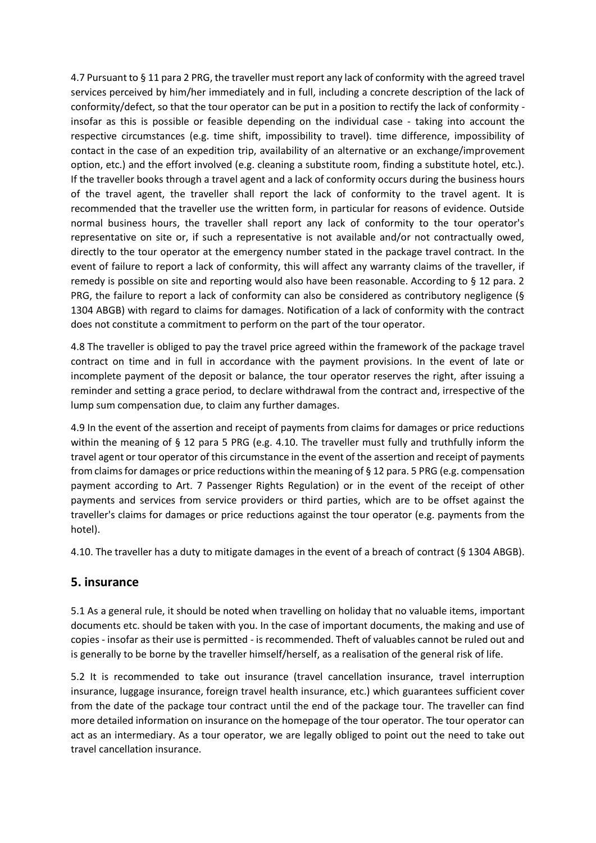4.7 Pursuant to § 11 para 2 PRG, the traveller must report any lack of conformity with the agreed travel services perceived by him/her immediately and in full, including a concrete description of the lack of conformity/defect, so that the tour operator can be put in a position to rectify the lack of conformity insofar as this is possible or feasible depending on the individual case - taking into account the respective circumstances (e.g. time shift, impossibility to travel). time difference, impossibility of contact in the case of an expedition trip, availability of an alternative or an exchange/improvement option, etc.) and the effort involved (e.g. cleaning a substitute room, finding a substitute hotel, etc.). If the traveller books through a travel agent and a lack of conformity occurs during the business hours of the travel agent, the traveller shall report the lack of conformity to the travel agent. It is recommended that the traveller use the written form, in particular for reasons of evidence. Outside normal business hours, the traveller shall report any lack of conformity to the tour operator's representative on site or, if such a representative is not available and/or not contractually owed, directly to the tour operator at the emergency number stated in the package travel contract. In the event of failure to report a lack of conformity, this will affect any warranty claims of the traveller, if remedy is possible on site and reporting would also have been reasonable. According to § 12 para. 2 PRG, the failure to report a lack of conformity can also be considered as contributory negligence (§ 1304 ABGB) with regard to claims for damages. Notification of a lack of conformity with the contract does not constitute a commitment to perform on the part of the tour operator.

4.8 The traveller is obliged to pay the travel price agreed within the framework of the package travel contract on time and in full in accordance with the payment provisions. In the event of late or incomplete payment of the deposit or balance, the tour operator reserves the right, after issuing a reminder and setting a grace period, to declare withdrawal from the contract and, irrespective of the lump sum compensation due, to claim any further damages.

4.9 In the event of the assertion and receipt of payments from claims for damages or price reductions within the meaning of § 12 para 5 PRG (e.g. 4.10. The traveller must fully and truthfully inform the travel agent or tour operator of this circumstance in the event of the assertion and receipt of payments from claims for damages or price reductions within the meaning of § 12 para. 5 PRG (e.g. compensation payment according to Art. 7 Passenger Rights Regulation) or in the event of the receipt of other payments and services from service providers or third parties, which are to be offset against the traveller's claims for damages or price reductions against the tour operator (e.g. payments from the hotel).

4.10. The traveller has a duty to mitigate damages in the event of a breach of contract (§ 1304 ABGB).

#### **5. insurance**

5.1 As a general rule, it should be noted when travelling on holiday that no valuable items, important documents etc. should be taken with you. In the case of important documents, the making and use of copies - insofar as their use is permitted - is recommended. Theft of valuables cannot be ruled out and is generally to be borne by the traveller himself/herself, as a realisation of the general risk of life.

5.2 It is recommended to take out insurance (travel cancellation insurance, travel interruption insurance, luggage insurance, foreign travel health insurance, etc.) which guarantees sufficient cover from the date of the package tour contract until the end of the package tour. The traveller can find more detailed information on insurance on the homepage of the tour operator. The tour operator can act as an intermediary. As a tour operator, we are legally obliged to point out the need to take out travel cancellation insurance.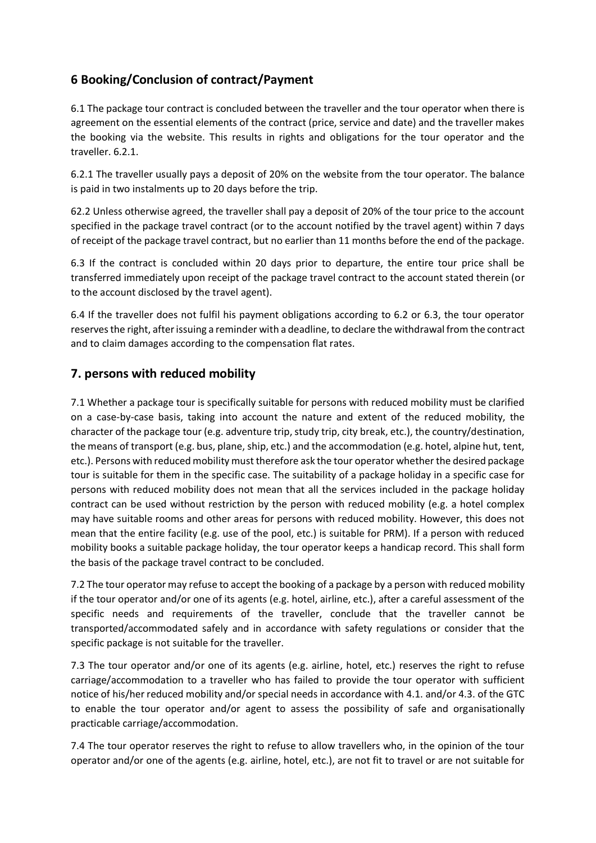# **6 Booking/Conclusion of contract/Payment**

6.1 The package tour contract is concluded between the traveller and the tour operator when there is agreement on the essential elements of the contract (price, service and date) and the traveller makes the booking via the website. This results in rights and obligations for the tour operator and the traveller. 6.2.1.

6.2.1 The traveller usually pays a deposit of 20% on the website from the tour operator. The balance is paid in two instalments up to 20 days before the trip.

62.2 Unless otherwise agreed, the traveller shall pay a deposit of 20% of the tour price to the account specified in the package travel contract (or to the account notified by the travel agent) within 7 days of receipt of the package travel contract, but no earlier than 11 months before the end of the package.

6.3 If the contract is concluded within 20 days prior to departure, the entire tour price shall be transferred immediately upon receipt of the package travel contract to the account stated therein (or to the account disclosed by the travel agent).

6.4 If the traveller does not fulfil his payment obligations according to 6.2 or 6.3, the tour operator reserves the right, after issuing a reminder with a deadline, to declare the withdrawal from the contract and to claim damages according to the compensation flat rates.

# **7. persons with reduced mobility**

7.1 Whether a package tour is specifically suitable for persons with reduced mobility must be clarified on a case-by-case basis, taking into account the nature and extent of the reduced mobility, the character of the package tour (e.g. adventure trip, study trip, city break, etc.), the country/destination, the means of transport (e.g. bus, plane, ship, etc.) and the accommodation (e.g. hotel, alpine hut, tent, etc.). Persons with reduced mobility must therefore ask the tour operator whether the desired package tour is suitable for them in the specific case. The suitability of a package holiday in a specific case for persons with reduced mobility does not mean that all the services included in the package holiday contract can be used without restriction by the person with reduced mobility (e.g. a hotel complex may have suitable rooms and other areas for persons with reduced mobility. However, this does not mean that the entire facility (e.g. use of the pool, etc.) is suitable for PRM). If a person with reduced mobility books a suitable package holiday, the tour operator keeps a handicap record. This shall form the basis of the package travel contract to be concluded.

7.2 The tour operator may refuse to accept the booking of a package by a person with reduced mobility if the tour operator and/or one of its agents (e.g. hotel, airline, etc.), after a careful assessment of the specific needs and requirements of the traveller, conclude that the traveller cannot be transported/accommodated safely and in accordance with safety regulations or consider that the specific package is not suitable for the traveller.

7.3 The tour operator and/or one of its agents (e.g. airline, hotel, etc.) reserves the right to refuse carriage/accommodation to a traveller who has failed to provide the tour operator with sufficient notice of his/her reduced mobility and/or special needs in accordance with 4.1. and/or 4.3. of the GTC to enable the tour operator and/or agent to assess the possibility of safe and organisationally practicable carriage/accommodation.

7.4 The tour operator reserves the right to refuse to allow travellers who, in the opinion of the tour operator and/or one of the agents (e.g. airline, hotel, etc.), are not fit to travel or are not suitable for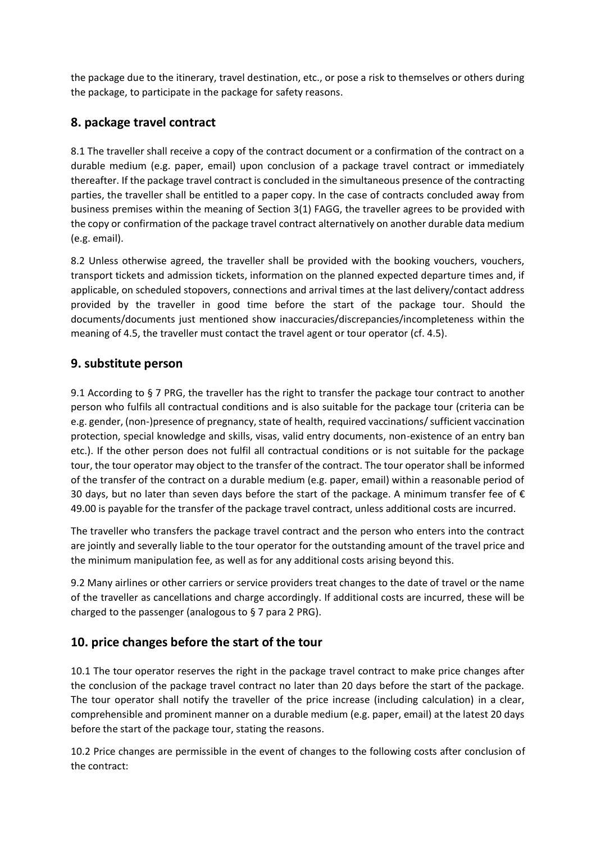the package due to the itinerary, travel destination, etc., or pose a risk to themselves or others during the package, to participate in the package for safety reasons.

# **8. package travel contract**

8.1 The traveller shall receive a copy of the contract document or a confirmation of the contract on a durable medium (e.g. paper, email) upon conclusion of a package travel contract or immediately thereafter. If the package travel contract is concluded in the simultaneous presence of the contracting parties, the traveller shall be entitled to a paper copy. In the case of contracts concluded away from business premises within the meaning of Section 3(1) FAGG, the traveller agrees to be provided with the copy or confirmation of the package travel contract alternatively on another durable data medium (e.g. email).

8.2 Unless otherwise agreed, the traveller shall be provided with the booking vouchers, vouchers, transport tickets and admission tickets, information on the planned expected departure times and, if applicable, on scheduled stopovers, connections and arrival times at the last delivery/contact address provided by the traveller in good time before the start of the package tour. Should the documents/documents just mentioned show inaccuracies/discrepancies/incompleteness within the meaning of 4.5, the traveller must contact the travel agent or tour operator (cf. 4.5).

# **9. substitute person**

9.1 According to § 7 PRG, the traveller has the right to transfer the package tour contract to another person who fulfils all contractual conditions and is also suitable for the package tour (criteria can be e.g. gender, (non-)presence of pregnancy, state of health, required vaccinations/ sufficient vaccination protection, special knowledge and skills, visas, valid entry documents, non-existence of an entry ban etc.). If the other person does not fulfil all contractual conditions or is not suitable for the package tour, the tour operator may object to the transfer of the contract. The tour operator shall be informed of the transfer of the contract on a durable medium (e.g. paper, email) within a reasonable period of 30 days, but no later than seven days before the start of the package. A minimum transfer fee of  $\epsilon$ 49.00 is payable for the transfer of the package travel contract, unless additional costs are incurred.

The traveller who transfers the package travel contract and the person who enters into the contract are jointly and severally liable to the tour operator for the outstanding amount of the travel price and the minimum manipulation fee, as well as for any additional costs arising beyond this.

9.2 Many airlines or other carriers or service providers treat changes to the date of travel or the name of the traveller as cancellations and charge accordingly. If additional costs are incurred, these will be charged to the passenger (analogous to § 7 para 2 PRG).

# **10. price changes before the start of the tour**

10.1 The tour operator reserves the right in the package travel contract to make price changes after the conclusion of the package travel contract no later than 20 days before the start of the package. The tour operator shall notify the traveller of the price increase (including calculation) in a clear, comprehensible and prominent manner on a durable medium (e.g. paper, email) at the latest 20 days before the start of the package tour, stating the reasons.

10.2 Price changes are permissible in the event of changes to the following costs after conclusion of the contract: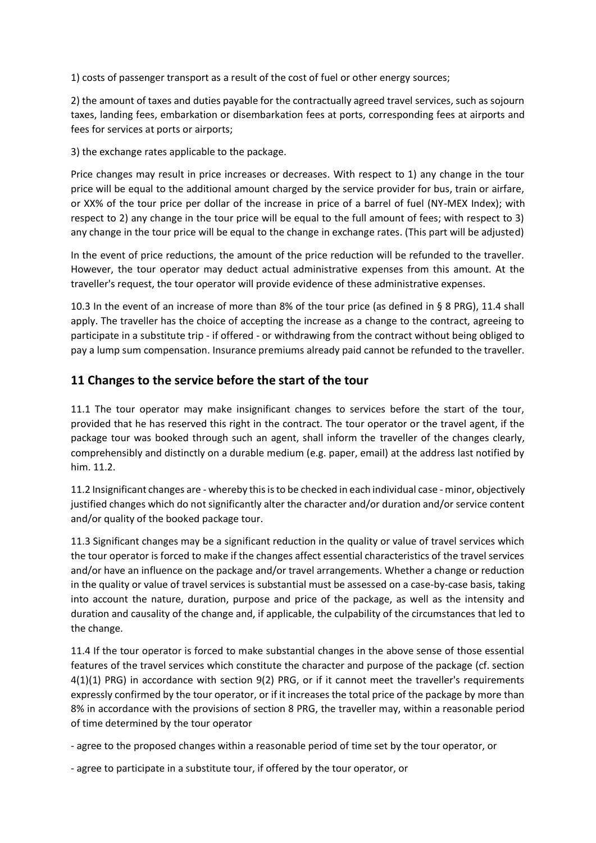1) costs of passenger transport as a result of the cost of fuel or other energy sources;

2) the amount of taxes and duties payable for the contractually agreed travel services, such as sojourn taxes, landing fees, embarkation or disembarkation fees at ports, corresponding fees at airports and fees for services at ports or airports;

3) the exchange rates applicable to the package.

Price changes may result in price increases or decreases. With respect to 1) any change in the tour price will be equal to the additional amount charged by the service provider for bus, train or airfare, or XX% of the tour price per dollar of the increase in price of a barrel of fuel (NY-MEX Index); with respect to 2) any change in the tour price will be equal to the full amount of fees; with respect to 3) any change in the tour price will be equal to the change in exchange rates. (This part will be adjusted)

In the event of price reductions, the amount of the price reduction will be refunded to the traveller. However, the tour operator may deduct actual administrative expenses from this amount. At the traveller's request, the tour operator will provide evidence of these administrative expenses.

10.3 In the event of an increase of more than 8% of the tour price (as defined in § 8 PRG), 11.4 shall apply. The traveller has the choice of accepting the increase as a change to the contract, agreeing to participate in a substitute trip - if offered - or withdrawing from the contract without being obliged to pay a lump sum compensation. Insurance premiums already paid cannot be refunded to the traveller.

#### **11 Changes to the service before the start of the tour**

11.1 The tour operator may make insignificant changes to services before the start of the tour, provided that he has reserved this right in the contract. The tour operator or the travel agent, if the package tour was booked through such an agent, shall inform the traveller of the changes clearly, comprehensibly and distinctly on a durable medium (e.g. paper, email) at the address last notified by him. 11.2.

11.2 Insignificant changes are - whereby this is to be checked in each individual case - minor, objectively justified changes which do not significantly alter the character and/or duration and/or service content and/or quality of the booked package tour.

11.3 Significant changes may be a significant reduction in the quality or value of travel services which the tour operator is forced to make if the changes affect essential characteristics of the travel services and/or have an influence on the package and/or travel arrangements. Whether a change or reduction in the quality or value of travel services is substantial must be assessed on a case-by-case basis, taking into account the nature, duration, purpose and price of the package, as well as the intensity and duration and causality of the change and, if applicable, the culpability of the circumstances that led to the change.

11.4 If the tour operator is forced to make substantial changes in the above sense of those essential features of the travel services which constitute the character and purpose of the package (cf. section 4(1)(1) PRG) in accordance with section 9(2) PRG, or if it cannot meet the traveller's requirements expressly confirmed by the tour operator, or if it increases the total price of the package by more than 8% in accordance with the provisions of section 8 PRG, the traveller may, within a reasonable period of time determined by the tour operator

- agree to the proposed changes within a reasonable period of time set by the tour operator, or

- agree to participate in a substitute tour, if offered by the tour operator, or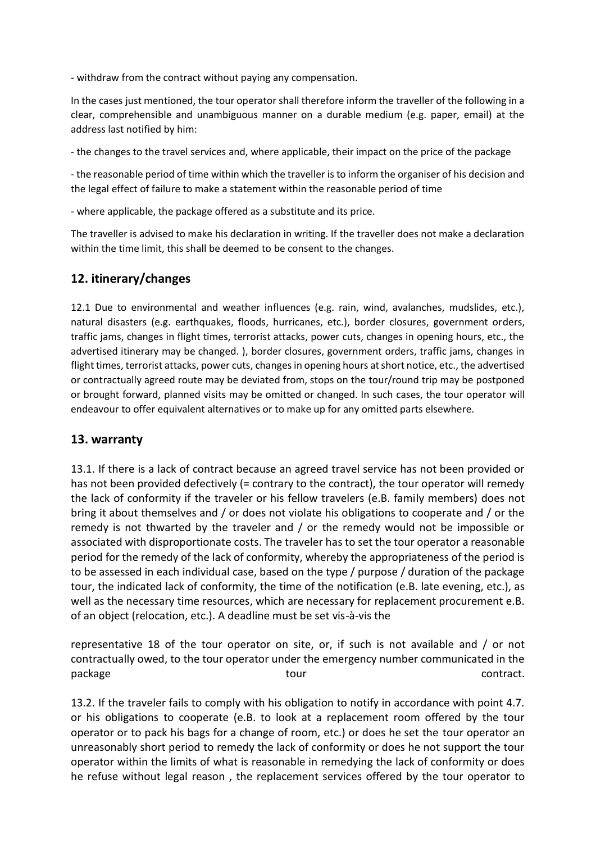- withdraw from the contract without paying any compensation.

In the cases just mentioned, the tour operator shall therefore inform the traveller of the following in a clear, comprehensible and unambiguous manner on a durable medium (e.g. paper, email) at the address last notified by him:

- the changes to the travel services and, where applicable, their impact on the price of the package

- the reasonable period of time within which the traveller is to inform the organiser of his decision and the legal effect of failure to make a statement within the reasonable period of time

- where applicable, the package offered as a substitute and its price.

The traveller is advised to make his declaration in writing. If the traveller does not make a declaration within the time limit, this shall be deemed to be consent to the changes.

#### **12. itinerary/changes**

12.1 Due to environmental and weather influences (e.g. rain, wind, avalanches, mudslides, etc.), natural disasters (e.g. earthquakes, floods, hurricanes, etc.), border closures, government orders, traffic jams, changes in flight times, terrorist attacks, power cuts, changes in opening hours, etc., the advertised itinerary may be changed. ), border closures, government orders, traffic jams, changes in flight times, terrorist attacks, power cuts, changes in opening hours at short notice, etc., the advertised or contractually agreed route may be deviated from, stops on the tour/round trip may be postponed or brought forward, planned visits may be omitted or changed. In such cases, the tour operator will endeavour to offer equivalent alternatives or to make up for any omitted parts elsewhere.

#### **13. warranty**

13.1. If there is a lack of contract because an agreed travel service has not been provided or has not been provided defectively (= contrary to the contract), the tour operator will remedy the lack of conformity if the traveler or his fellow travelers (e.B. family members) does not bring it about themselves and / or does not violate his obligations to cooperate and / or the remedy is not thwarted by the traveler and / or the remedy would not be impossible or associated with disproportionate costs. The traveler has to set the tour operator a reasonable period for the remedy of the lack of conformity, whereby the appropriateness of the period is to be assessed in each individual case, based on the type / purpose / duration of the package tour, the indicated lack of conformity, the time of the notification (e.B. late evening, etc.), as well as the necessary time resources, which are necessary for replacement procurement e.B. of an object (relocation, etc.). A deadline must be set vis-à-vis the

representative 18 of the tour operator on site, or, if such is not available and / or not contractually owed, to the tour operator under the emergency number communicated in the package example and tour tour tour contract.

13.2. If the traveler fails to comply with his obligation to notify in accordance with point 4.7. or his obligations to cooperate (e.B. to look at a replacement room offered by the tour operator or to pack his bags for a change of room, etc.) or does he set the tour operator an unreasonably short period to remedy the lack of conformity or does he not support the tour operator within the limits of what is reasonable in remedying the lack of conformity or does he refuse without legal reason , the replacement services offered by the tour operator to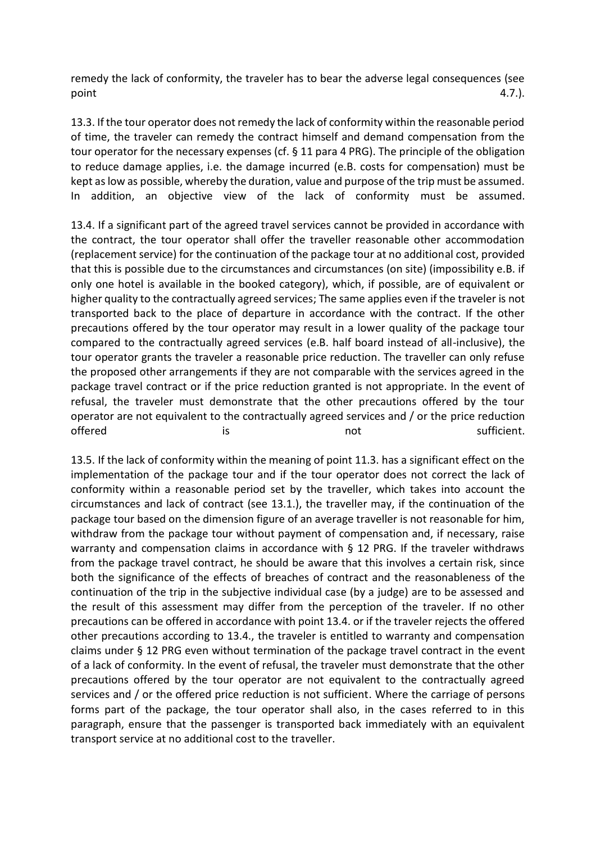remedy the lack of conformity, the traveler has to bear the adverse legal consequences (see  $point$  4.7.).

13.3. If the tour operator does not remedy the lack of conformity within the reasonable period of time, the traveler can remedy the contract himself and demand compensation from the tour operator for the necessary expenses (cf. § 11 para 4 PRG). The principle of the obligation to reduce damage applies, i.e. the damage incurred (e.B. costs for compensation) must be kept as low as possible, whereby the duration, value and purpose of the trip must be assumed. In addition, an objective view of the lack of conformity must be assumed.

13.4. If a significant part of the agreed travel services cannot be provided in accordance with the contract, the tour operator shall offer the traveller reasonable other accommodation (replacement service) for the continuation of the package tour at no additional cost, provided that this is possible due to the circumstances and circumstances (on site) (impossibility e.B. if only one hotel is available in the booked category), which, if possible, are of equivalent or higher quality to the contractually agreed services; The same applies even if the traveler is not transported back to the place of departure in accordance with the contract. If the other precautions offered by the tour operator may result in a lower quality of the package tour compared to the contractually agreed services (e.B. half board instead of all-inclusive), the tour operator grants the traveler a reasonable price reduction. The traveller can only refuse the proposed other arrangements if they are not comparable with the services agreed in the package travel contract or if the price reduction granted is not appropriate. In the event of refusal, the traveler must demonstrate that the other precautions offered by the tour operator are not equivalent to the contractually agreed services and / or the price reduction offered is is the not sufficient.

13.5. If the lack of conformity within the meaning of point 11.3. has a significant effect on the implementation of the package tour and if the tour operator does not correct the lack of conformity within a reasonable period set by the traveller, which takes into account the circumstances and lack of contract (see 13.1.), the traveller may, if the continuation of the package tour based on the dimension figure of an average traveller is not reasonable for him, withdraw from the package tour without payment of compensation and, if necessary, raise warranty and compensation claims in accordance with § 12 PRG. If the traveler withdraws from the package travel contract, he should be aware that this involves a certain risk, since both the significance of the effects of breaches of contract and the reasonableness of the continuation of the trip in the subjective individual case (by a judge) are to be assessed and the result of this assessment may differ from the perception of the traveler. If no other precautions can be offered in accordance with point 13.4. or if the traveler rejects the offered other precautions according to 13.4., the traveler is entitled to warranty and compensation claims under § 12 PRG even without termination of the package travel contract in the event of a lack of conformity. In the event of refusal, the traveler must demonstrate that the other precautions offered by the tour operator are not equivalent to the contractually agreed services and / or the offered price reduction is not sufficient. Where the carriage of persons forms part of the package, the tour operator shall also, in the cases referred to in this paragraph, ensure that the passenger is transported back immediately with an equivalent transport service at no additional cost to the traveller.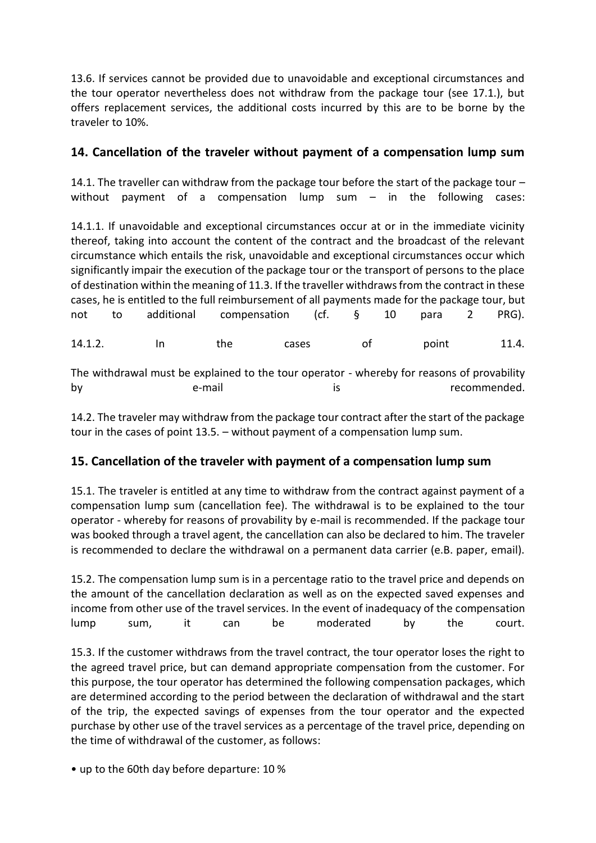13.6. If services cannot be provided due to unavoidable and exceptional circumstances and the tour operator nevertheless does not withdraw from the package tour (see 17.1.), but offers replacement services, the additional costs incurred by this are to be borne by the traveler to 10%.

# **14. Cancellation of the traveler without payment of a compensation lump sum**

14.1. The traveller can withdraw from the package tour before the start of the package tour  $$ without payment of a compensation lump sum – in the following cases:

14.1.1. If unavoidable and exceptional circumstances occur at or in the immediate vicinity thereof, taking into account the content of the contract and the broadcast of the relevant circumstance which entails the risk, unavoidable and exceptional circumstances occur which significantly impair the execution of the package tour or the transport of persons to the place of destination within the meaning of 11.3. If the traveller withdraws from the contract in these cases, he is entitled to the full reimbursement of all payments made for the package tour, but not to additional compensation (cf. § 10 para 2 PRG).

14.1.2. In the cases of point 11.4.

The withdrawal must be explained to the tour operator - whereby for reasons of provability by e-mail e-mail is recommended.

14.2. The traveler may withdraw from the package tour contract after the start of the package tour in the cases of point 13.5. – without payment of a compensation lump sum.

# **15. Cancellation of the traveler with payment of a compensation lump sum**

15.1. The traveler is entitled at any time to withdraw from the contract against payment of a compensation lump sum (cancellation fee). The withdrawal is to be explained to the tour operator - whereby for reasons of provability by e-mail is recommended. If the package tour was booked through a travel agent, the cancellation can also be declared to him. The traveler is recommended to declare the withdrawal on a permanent data carrier (e.B. paper, email).

15.2. The compensation lump sum is in a percentage ratio to the travel price and depends on the amount of the cancellation declaration as well as on the expected saved expenses and income from other use of the travel services. In the event of inadequacy of the compensation lump sum, it can be moderated by the court.

15.3. If the customer withdraws from the travel contract, the tour operator loses the right to the agreed travel price, but can demand appropriate compensation from the customer. For this purpose, the tour operator has determined the following compensation packages, which are determined according to the period between the declaration of withdrawal and the start of the trip, the expected savings of expenses from the tour operator and the expected purchase by other use of the travel services as a percentage of the travel price, depending on the time of withdrawal of the customer, as follows:

• up to the 60th day before departure: 10 %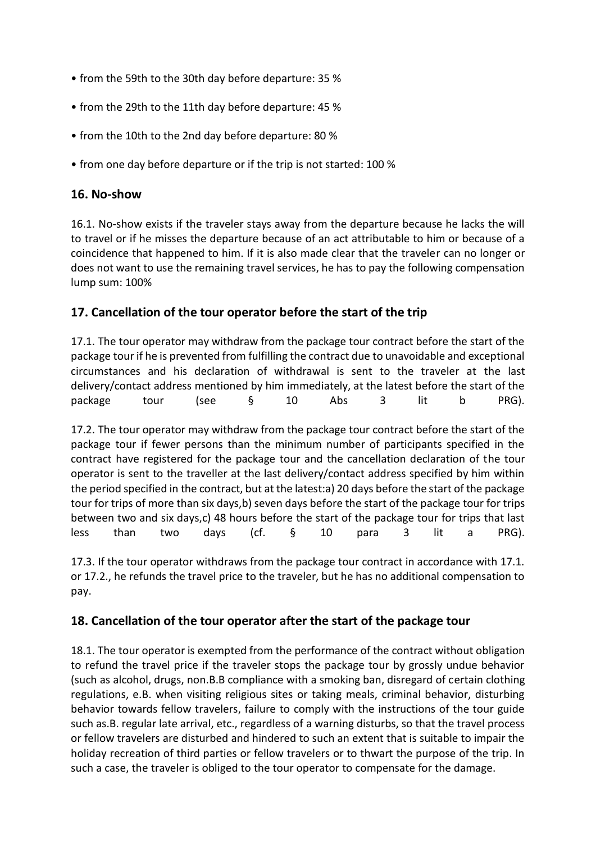- from the 59th to the 30th day before departure: 35 %
- from the 29th to the 11th day before departure: 45 %
- from the 10th to the 2nd day before departure: 80 %
- from one day before departure or if the trip is not started: 100 %

#### **16. No-show**

16.1. No-show exists if the traveler stays away from the departure because he lacks the will to travel or if he misses the departure because of an act attributable to him or because of a coincidence that happened to him. If it is also made clear that the traveler can no longer or does not want to use the remaining travel services, he has to pay the following compensation lump sum: 100%

# **17. Cancellation of the tour operator before the start of the trip**

17.1. The tour operator may withdraw from the package tour contract before the start of the package tour if he is prevented from fulfilling the contract due to unavoidable and exceptional circumstances and his declaration of withdrawal is sent to the traveler at the last delivery/contact address mentioned by him immediately, at the latest before the start of the package tour (see § 10 Abs 3 lit b PRG).

17.2. The tour operator may withdraw from the package tour contract before the start of the package tour if fewer persons than the minimum number of participants specified in the contract have registered for the package tour and the cancellation declaration of the tour operator is sent to the traveller at the last delivery/contact address specified by him within the period specified in the contract, but at the latest:a) 20 days before the start of the package tour for trips of more than six days,b) seven days before the start of the package tour for trips between two and six days,c) 48 hours before the start of the package tour for trips that last less than two days (cf. § 10 para 3 lit a PRG).

17.3. If the tour operator withdraws from the package tour contract in accordance with 17.1. or 17.2., he refunds the travel price to the traveler, but he has no additional compensation to pay.

# **18. Cancellation of the tour operator after the start of the package tour**

18.1. The tour operator is exempted from the performance of the contract without obligation to refund the travel price if the traveler stops the package tour by grossly undue behavior (such as alcohol, drugs, non.B.B compliance with a smoking ban, disregard of certain clothing regulations, e.B. when visiting religious sites or taking meals, criminal behavior, disturbing behavior towards fellow travelers, failure to comply with the instructions of the tour guide such as.B. regular late arrival, etc., regardless of a warning disturbs, so that the travel process or fellow travelers are disturbed and hindered to such an extent that is suitable to impair the holiday recreation of third parties or fellow travelers or to thwart the purpose of the trip. In such a case, the traveler is obliged to the tour operator to compensate for the damage.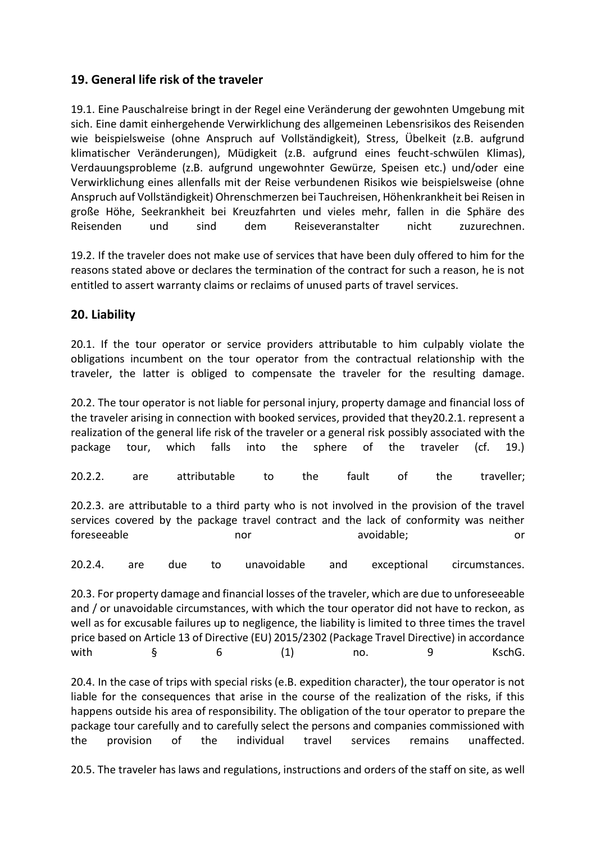# **19. General life risk of the traveler**

19.1. Eine Pauschalreise bringt in der Regel eine Veränderung der gewohnten Umgebung mit sich. Eine damit einhergehende Verwirklichung des allgemeinen Lebensrisikos des Reisenden wie beispielsweise (ohne Anspruch auf Vollständigkeit), Stress, Übelkeit (z.B. aufgrund klimatischer Veränderungen), Müdigkeit (z.B. aufgrund eines feucht-schwülen Klimas), Verdauungsprobleme (z.B. aufgrund ungewohnter Gewürze, Speisen etc.) und/oder eine Verwirklichung eines allenfalls mit der Reise verbundenen Risikos wie beispielsweise (ohne Anspruch auf Vollständigkeit) Ohrenschmerzen bei Tauchreisen, Höhenkrankheit bei Reisen in große Höhe, Seekrankheit bei Kreuzfahrten und vieles mehr, fallen in die Sphäre des Reisenden und sind dem Reiseveranstalter nicht zuzurechnen.

19.2. If the traveler does not make use of services that have been duly offered to him for the reasons stated above or declares the termination of the contract for such a reason, he is not entitled to assert warranty claims or reclaims of unused parts of travel services.

# **20. Liability**

20.1. If the tour operator or service providers attributable to him culpably violate the obligations incumbent on the tour operator from the contractual relationship with the traveler, the latter is obliged to compensate the traveler for the resulting damage.

20.2. The tour operator is not liable for personal injury, property damage and financial loss of the traveler arising in connection with booked services, provided that they20.2.1. represent a realization of the general life risk of the traveler or a general risk possibly associated with the package tour, which falls into the sphere of the traveler (cf. 19.) 20.2.2. are attributable to the fault of the traveller; 20.2.3. are attributable to a third party who is not involved in the provision of the travel services covered by the package travel contract and the lack of conformity was neither foreseeable **nor** avoidable; and a series or 20.2.4. are due to unavoidable and exceptional circumstances. 20.3. For property damage and financial losses of the traveler, which are due to unforeseeable and / or unavoidable circumstances, with which the tour operator did not have to reckon, as well as for excusable failures up to negligence, the liability is limited to three times the travel price based on Article 13 of Directive (EU) 2015/2302 (Package Travel Directive) in accordance with § 6 (1) no. 9 KschG.

20.4. In the case of trips with special risks (e.B. expedition character), the tour operator is not liable for the consequences that arise in the course of the realization of the risks, if this happens outside his area of responsibility. The obligation of the tour operator to prepare the package tour carefully and to carefully select the persons and companies commissioned with the provision of the individual travel services remains unaffected.

20.5. The traveler has laws and regulations, instructions and orders of the staff on site, as well